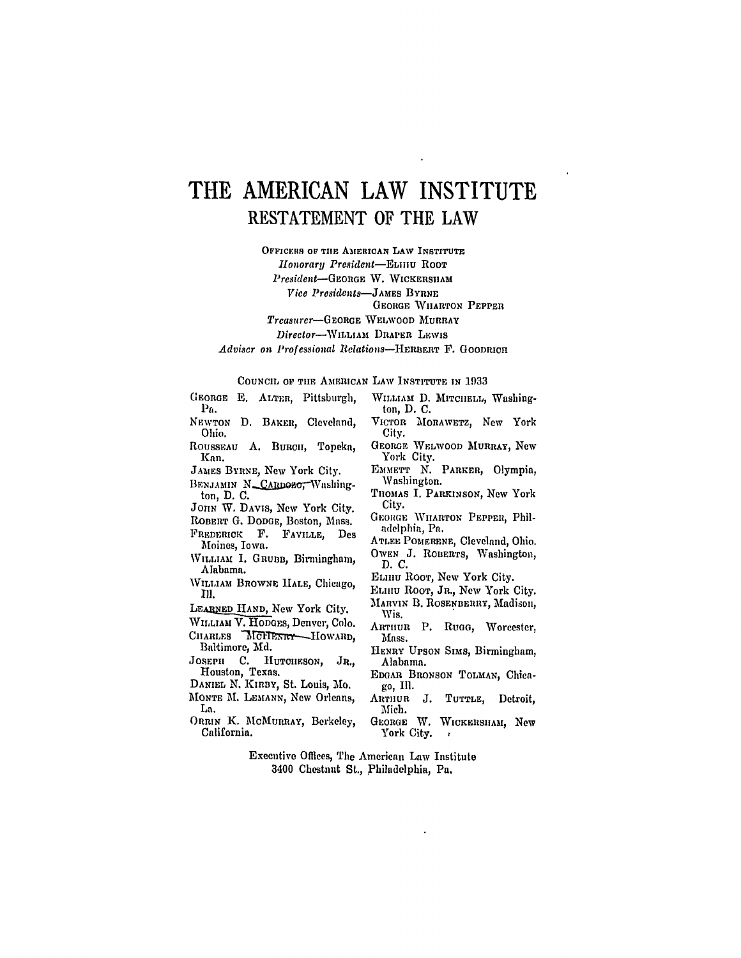## THE AMERICAN LAW INSTITUTE RESTATEMENT OF THE LAW

OFFICERS OF THE AMERICAN LAW INSTITUTE

Honorary President-ELIIIU ROOT

President-GEORGE W. WICKERSHAM

Vice Presidents-JAMES BYRNE

**GEORGE WHARTON PEPPER** 

Treasurer-GEORGE WELWOOD MURRAY

Director-WILLIAM DRAPER LEWIS

Adviser on Professional Relations-HERBERT F. GOODRICH

## COUNCIL OF THE AMERICAN LAW INSTITUTE IN 1933

GEORGE E. ALTER, Pittsburgh,  $P_{\rm fl.}$ 

NEWTON D. BAKER, Cleveland, Ohio.

ROUSSEAU A. BURCH, Topeka, Kan.

JAMES BYRNE, New York City.

BENJAMIN N\_CARDOZO, Washington, D.C.

JOHN W. DAVIS, New York City.

ROBERT G. DODGE, Boston, Mass. FREDERICK F. FAVILLE, Des

- Moines, Iowa.
- WILLIAM I. GRUBB, Birmingham, Alabama.
- WILLIAM BROWNE HALE, Chicago, III.

LEARNED HAND, New York City.

WILLIAM V. HODGES, Denver, Colo.

- CHARLES MCHENRY HOWARD. Baltimore, Md.
- JOSEPH C. HUTCHESON, JR., Houston, Texas.

DANIEL N. KIRBY, St. Louis, Mo.

- MONTE M. LEMANN, New Orleans, La.
- ORRIN K. MCMURRAY, Berkeley, California.
- WILLIAM D. MITCHELL, Washington, D. C.
- VICTOR MORAWETZ, New York City.
- GEORGE WELWOOD MURRAY, New York City.
- EMMETT N. PARKER, Olympia, Washington.
- THOMAS I. PARKINSON, New York City.
- GEORGE WHARTON PEPPER, Philadelphia, Pa.
- ATLEE POMERENE, Cleveland, Ohio. OWEN J. ROBERTS, Washington, D. C.
- ELHIU ROOT, New York City.
- ELHIU ROOT, JR., New York City.
- MARVIN B. ROSENBERRY, Madison, Wis.
- ARTHUR P. Rugg, Worcester, Mass.
- HENRY UPSON SIMS, Birmingham, Alabama.
- EDGAR BRONSON TOLMAN, Chicago, Ill.
- ARTHUR J. TUTTLE, Detroit, Mich.
- GEORGE W. WICKERSHAM, New York City.
- Executive Offices, The American Law Institute 3400 Chestnut St., Philadelphia, Pa.